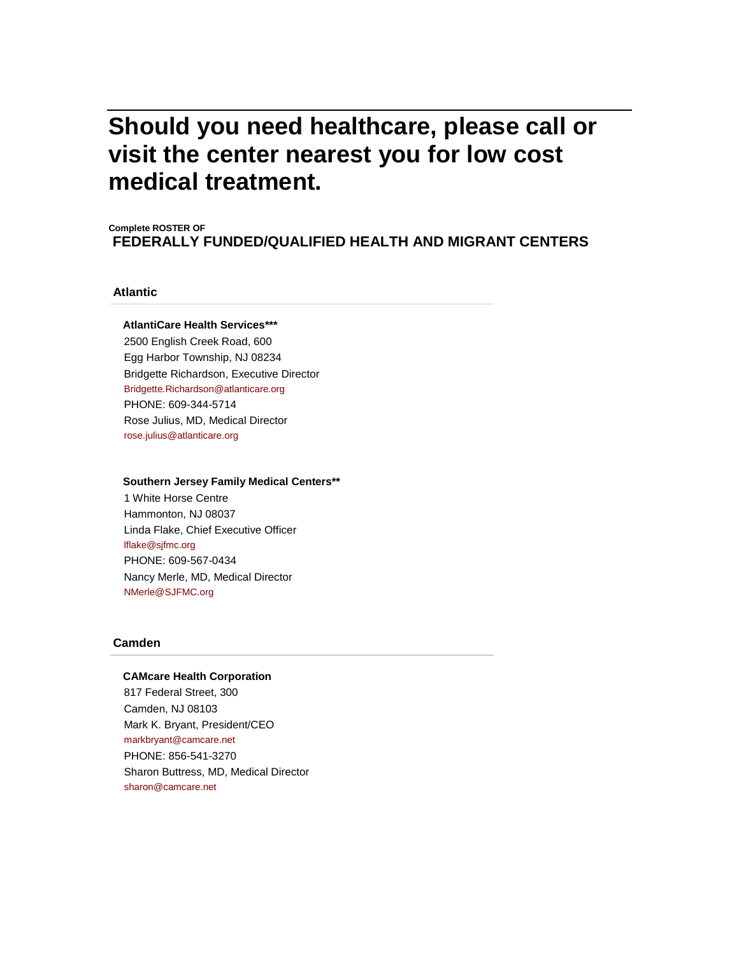# **Should you need healthcare, please call or visit the center nearest you for low cost medical treatment.**

# **Complete ROSTER OF FEDERALLY FUNDED/QUALIFIED HEALTH AND MIGRANT CENTERS**

# **Atlantic**

## **AtlantiCare Health Services\*\*\***

2500 English Creek Road, 600 Egg Harbor Township, NJ 08234 Bridgette Richardson, Executive Director [Bridgette.Richardson@atlanticare.org](mailto:Bridgette.Richardson@atlanticare.org) PHONE: 609-344-5714 Rose Julius, MD, Medical Director [rose.julius@atlanticare.org](mailto:rose.julius@atlanticare.org)

#### **Southern Jersey Family Medical Centers\*\***

1 White Horse Centre Hammonton, NJ 08037 Linda Flake, Chief Executive Officer [lflake@sjfmc.org](mailto:lflake@sjfmc.org) PHONE: 609-567-0434 Nancy Merle, MD, Medical Director [NMerle@SJFMC.org](mailto:NMerle@SJFMC.org)

# **Camden**

#### **CAMcare Health Corporation**

817 Federal Street, 300 Camden, NJ 08103 Mark K. Bryant, President/CEO [markbryant@camcare.net](mailto:markbryant@camcare.net) PHONE: 856-541-3270 Sharon Buttress, MD, Medical Director [sharon@camcare.net](mailto:sharon@camcare.net)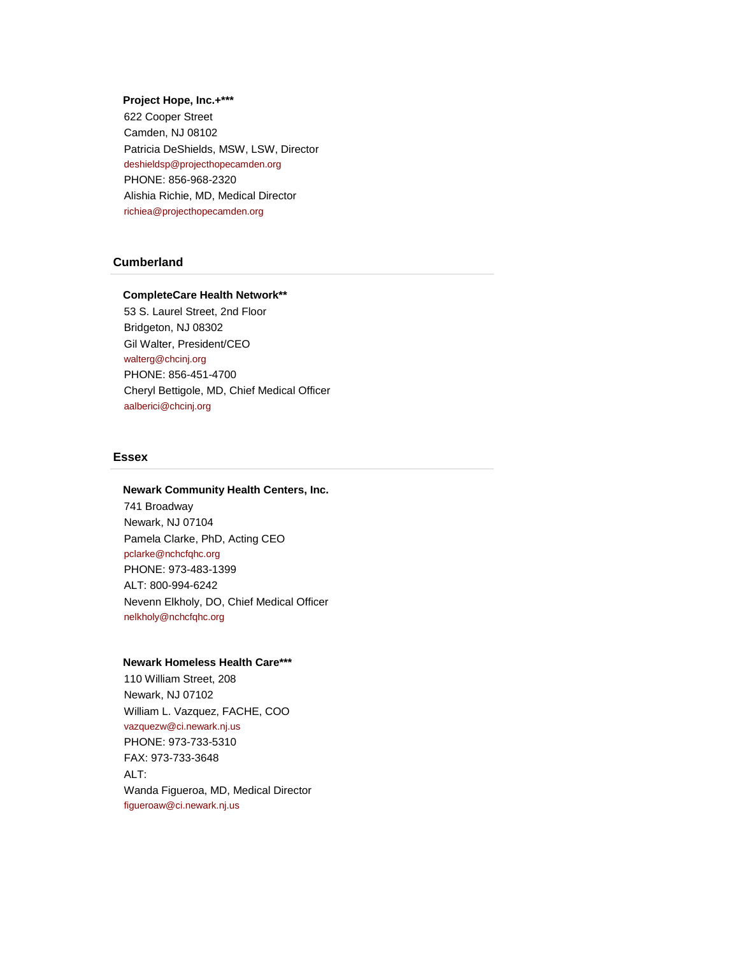## **Project Hope, Inc.+\*\*\***

622 Cooper Street Camden, NJ 08102 Patricia DeShields, MSW, LSW, Director [deshieldsp@projecthopecamden.org](mailto:deshieldsp@projecthopecamden.org) PHONE: 856-968-2320 Alishia Richie, MD, Medical Director [richiea@projecthopecamden.org](mailto:richiea@projecthopecamden.org)

# **Cumberland**

## **CompleteCare Health Network\*\***

53 S. Laurel Street, 2nd Floor Bridgeton, NJ 08302 Gil Walter, President/CEO [walterg@chcinj.org](mailto:walterg@chcinj.org) PHONE: 856-451-4700 Cheryl Bettigole, MD, Chief Medical Officer [aalberici@chcinj.org](mailto:aalberici@chcinj.org)

## **Essex**

## **Newark Community Health Centers, Inc.**

741 Broadway Newark, NJ 07104 Pamela Clarke, PhD, Acting CEO [pclarke@nchcfqhc.org](mailto:pclarke@nchcfqhc.org) PHONE: 973-483-1399 ALT: 800-994-6242 Nevenn Elkholy, DO, Chief Medical Officer [nelkholy@nchcfqhc.org](mailto:nelkholy@nchcfqhc.org)

## **Newark Homeless Health Care\*\*\***

110 William Street, 208 Newark, NJ 07102 William L. Vazquez, FACHE, COO [vazquezw@ci.newark.nj.us](mailto:vazquezw@ci.newark.nj.us) PHONE: 973-733-5310 FAX: 973-733-3648 ALT: Wanda Figueroa, MD, Medical Director [figueroaw@ci.newark.nj.us](mailto:figueroaw@ci.newark.nj.us)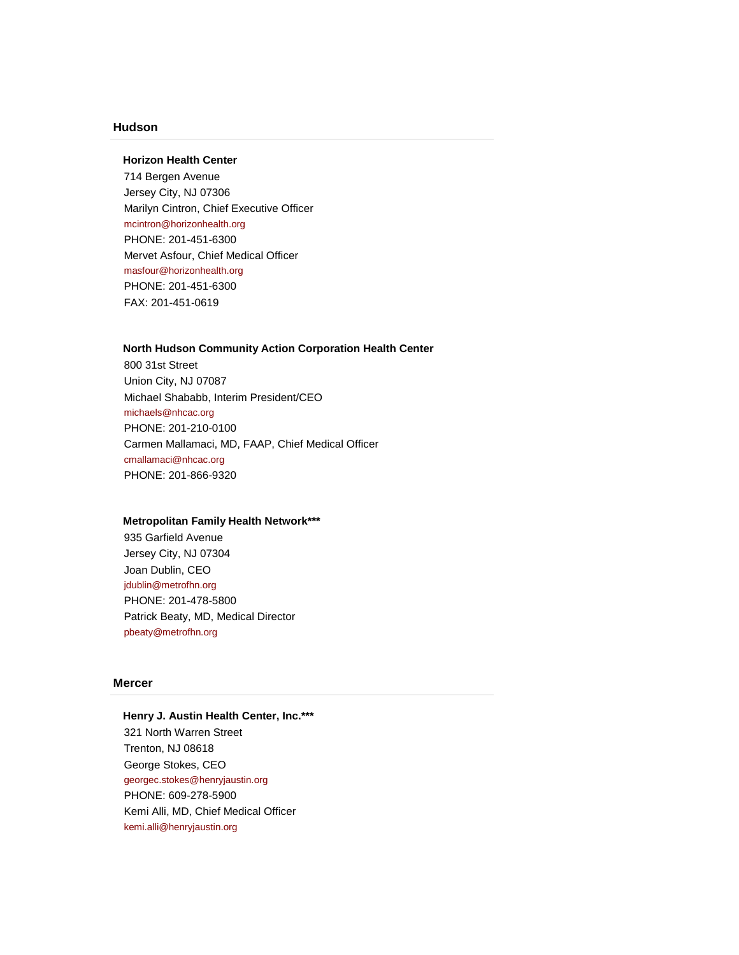# **Hudson**

## **Horizon Health Center**

714 Bergen Avenue Jersey City, NJ 07306 Marilyn Cintron, Chief Executive Officer [mcintron@horizonhealth.org](mailto:mcintron@horizonhealth.org) PHONE: 201-451-6300 Mervet Asfour, Chief Medical Officer [masfour@horizonhealth.org](mailto:masfour@horizonhealth.org) PHONE: 201-451-6300 FAX: 201-451-0619

## **North Hudson Community Action Corporation Health Center**

800 31st Street Union City, NJ 07087 Michael Shababb, Interim President/CEO [michaels@nhcac.org](mailto:michaels@nhcac.org) PHONE: 201-210-0100 Carmen Mallamaci, MD, FAAP, Chief Medical Officer [cmallamaci@nhcac.org](mailto:cmallamaci@nhcac.org) PHONE: 201-866-9320

#### **Metropolitan Family Health Network\*\*\***

935 Garfield Avenue Jersey City, NJ 07304 Joan Dublin, CEO [jdublin@metrofhn.org](mailto:jdublin@metrofhn.org) PHONE: 201-478-5800 Patrick Beaty, MD, Medical Director [pbeaty@metrofhn.org](mailto:pbeaty@metrofhn.org)

# **Mercer**

**Henry J. Austin Health Center, Inc.\*\*\*** 321 North Warren Street Trenton, NJ 08618 George Stokes, CEO [georgec.stokes@henryjaustin.org](mailto:georgec.stokes@henryjaustin.org) PHONE: 609-278-5900 Kemi Alli, MD, Chief Medical Officer [kemi.alli@henryjaustin.org](mailto:kemi.alli@henryjaustin.org)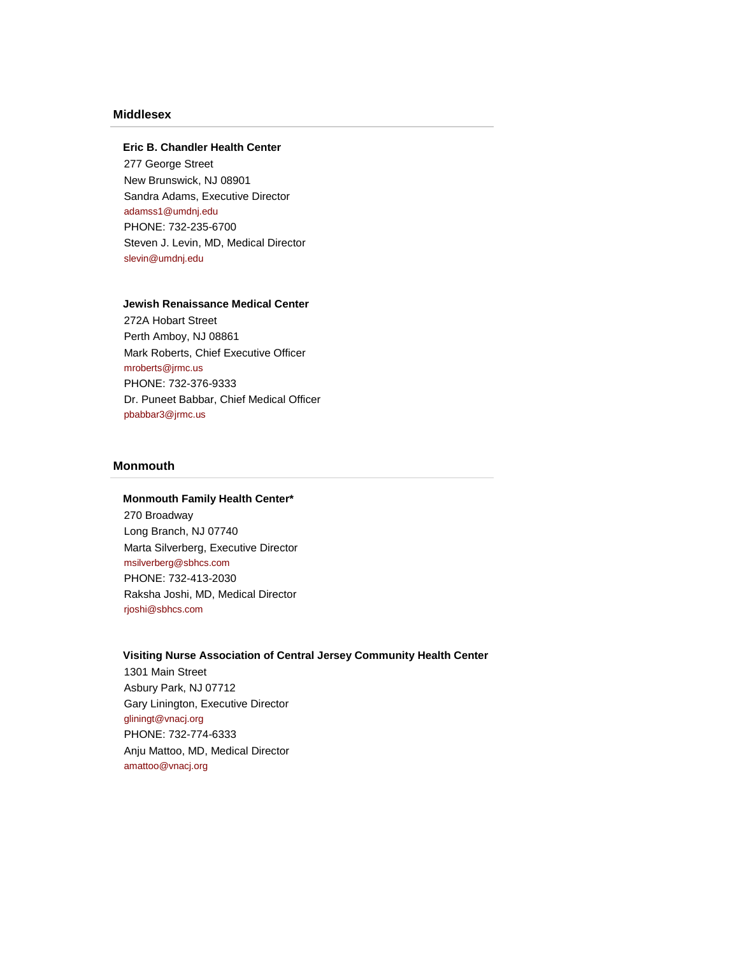# **Middlesex**

## **Eric B. Chandler Health Center**

277 George Street New Brunswick, NJ 08901 Sandra Adams, Executive Director [adamss1@umdnj.edu](mailto:adamss1@umdnj.edu) PHONE: 732-235-6700 Steven J. Levin, MD, Medical Director [slevin@umdnj.edu](mailto:slevin@umdnj.edu)

## **Jewish Renaissance Medical Center**

272A Hobart Street Perth Amboy, NJ 08861 Mark Roberts, Chief Executive Officer [mroberts@jrmc.us](mailto:mroberts@jrmc.us) PHONE: 732-376-9333 Dr. Puneet Babbar, Chief Medical Officer [pbabbar3@jrmc.us](mailto:pbabbar3@jrmc.us)

# **Monmouth**

## **Monmouth Family Health Center\***

270 Broadway Long Branch, NJ 07740 Marta Silverberg, Executive Director [msilverberg@sbhcs.com](mailto:msilverberg@sbhcs.com) PHONE: 732-413-2030 Raksha Joshi, MD, Medical Director [rjoshi@sbhcs.com](mailto:rjoshi@sbhcs.com)

# **Visiting Nurse Association of Central Jersey Community Health Center**

1301 Main Street Asbury Park, NJ 07712 Gary Linington, Executive Director [gliningt@vnacj.org](mailto:gliningt@vnacj.org) PHONE: 732-774-6333 Anju Mattoo, MD, Medical Director [amattoo@vnacj.org](mailto:amattoo@vnacj.org)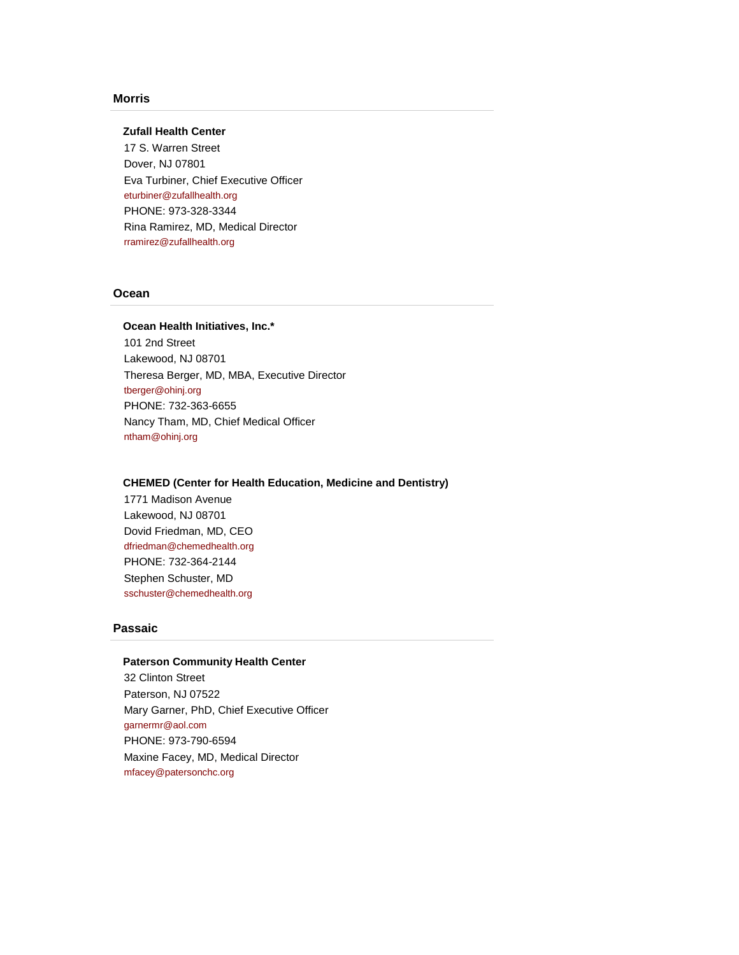# **Morris**

# **Zufall Health Center**

17 S. Warren Street Dover, NJ 07801 Eva Turbiner, Chief Executive Officer [eturbiner@zufallhealth.org](mailto:eturbiner@zufallhealth.org) PHONE: 973-328-3344 Rina Ramirez, MD, Medical Director [rramirez@zufallhealth.org](mailto:rramirez@zufallhealth.org)

# **Ocean**

## **Ocean Health Initiatives, Inc.\***

101 2nd Street Lakewood, NJ 08701 Theresa Berger, MD, MBA, Executive Director [tberger@ohinj.org](mailto:tberger@ohinj.org) PHONE: 732-363-6655 Nancy Tham, MD, Chief Medical Officer [ntham@ohinj.org](mailto:ntham@ohinj.org)

## **CHEMED (Center for Health Education, Medicine and Dentistry)**

1771 Madison Avenue Lakewood, NJ 08701 Dovid Friedman, MD, CEO [dfriedman@chemedhealth.org](mailto:dfriedman@chemedhealth.org) PHONE: 732-364-2144 Stephen Schuster, MD [sschuster@chemedhealth.org](mailto:sschuster@chemedhealth.org)

## **Passaic**

## **Paterson Community Health Center**

32 Clinton Street Paterson, NJ 07522 Mary Garner, PhD, Chief Executive Officer [garnermr@aol.com](mailto:garnermr@aol.com) PHONE: 973-790-6594 Maxine Facey, MD, Medical Director [mfacey@patersonchc.org](mailto:mfacey@patersonchc.org)